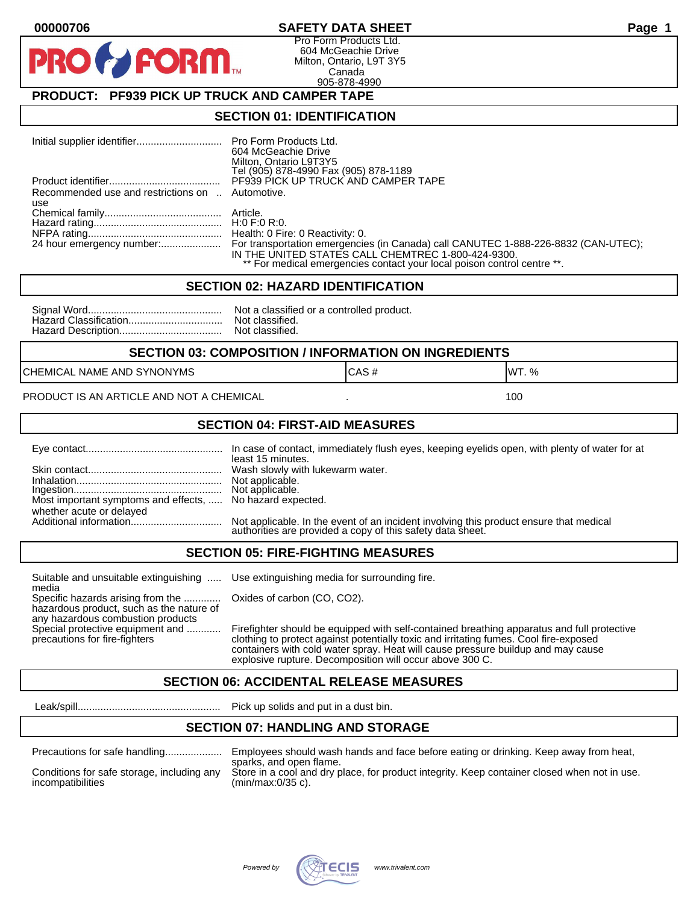#### **00000706 SAFETY DATA SHEET Page 1**

Pro Form Products Ltd. 604 McGeachie Drive Milton, Ontario, L9T 3Y5 Canada 905-878-4990

## **PRODUCT: PF939 PICK UP TRUCK AND CAMPER TAPE**

**FORM.** 

#### **SECTION 01: IDENTIFICATION**

|                                                  | 604 McGeachie Drive<br>Milton, Ontario L9T3Y5<br>Tel (905) 878-4990 Fax (905) 878-1189                                                                                                                              |
|--------------------------------------------------|---------------------------------------------------------------------------------------------------------------------------------------------------------------------------------------------------------------------|
|                                                  | PF939 PICK UP TRUCK AND CAMPER TAPE                                                                                                                                                                                 |
| Recommended use and restrictions on  Automotive. |                                                                                                                                                                                                                     |
| use                                              |                                                                                                                                                                                                                     |
|                                                  |                                                                                                                                                                                                                     |
|                                                  |                                                                                                                                                                                                                     |
|                                                  |                                                                                                                                                                                                                     |
|                                                  | For transportation emergencies (in Canada) call CANUTEC 1-888-226-8832 (CAN-UTEC);<br>IN THE UNITED STATES CALL CHEMTREC 1-800-424-9300.<br>** For medical emergencies contact your local poison control centre **. |

#### **SECTION 02: HAZARD IDENTIFICATION**

| Nc             |
|----------------|
| N <sub>C</sub> |
| No             |

It a classified or a controlled product. t classified. t classified.

#### **SECTION 03: COMPOSITION / INFORMATION ON INGREDIENTS**

CHEMICAL NAME AND SYNONYMS GAS AND CAS # CAS # WT. %

#### PRODUCT IS AN ARTICLE AND NOT A CHEMICAL **AND THE SET AND A SET ALL ASSAULT** 100

#### **SECTION 04: FIRST-AID MEASURES**

|                                                                                       | least 15 minutes.                                                                                                                                 |
|---------------------------------------------------------------------------------------|---------------------------------------------------------------------------------------------------------------------------------------------------|
|                                                                                       | Not applicable.                                                                                                                                   |
| Most important symptoms and effects,  No hazard expected.<br>whether acute or delayed |                                                                                                                                                   |
|                                                                                       | Not applicable. In the event of an incident involving this product ensure that medical authorities are provided a copy of this safety data sheet. |

#### **SECTION 05: FIRE-FIGHTING MEASURES**

Suitable and unsuitable extinguishing ..... Use extinguishing media for surrounding fire. media

Specific hazards arising from the ............. Oxides of carbon (CO, CO2). hazardous product, such as the nature of any hazardous combustion products

Special protective equipment and ............ Firefighter should be equipped with self-contained breathing apparatus and full protective<br>precautions for fire-fighters continent clothing to protect against potentially toxic clothing to protect against potentially toxic and irritating fumes. Cool fire-exposed containers with cold water spray. Heat will cause pressure buildup and may cause explosive rupture. Decomposition will occur above 300 C.

#### **SECTION 06: ACCIDENTAL RELEASE MEASURES**

Leak/spill.................................................. Pick up solids and put in a dust bin.

### **SECTION 07: HANDLING AND STORAGE**

| Precautions for safe handling |  |  |
|-------------------------------|--|--|
|                               |  |  |

incompatibilities (min/max:0/35 c).

Precautions for safe handling.................... Employees should wash hands and face before eating or drinking. Keep away from heat, sparks, and open flame. Conditions for safe storage, including any Store in a cool and dry place, for product integrity. Keep container closed when not in use.

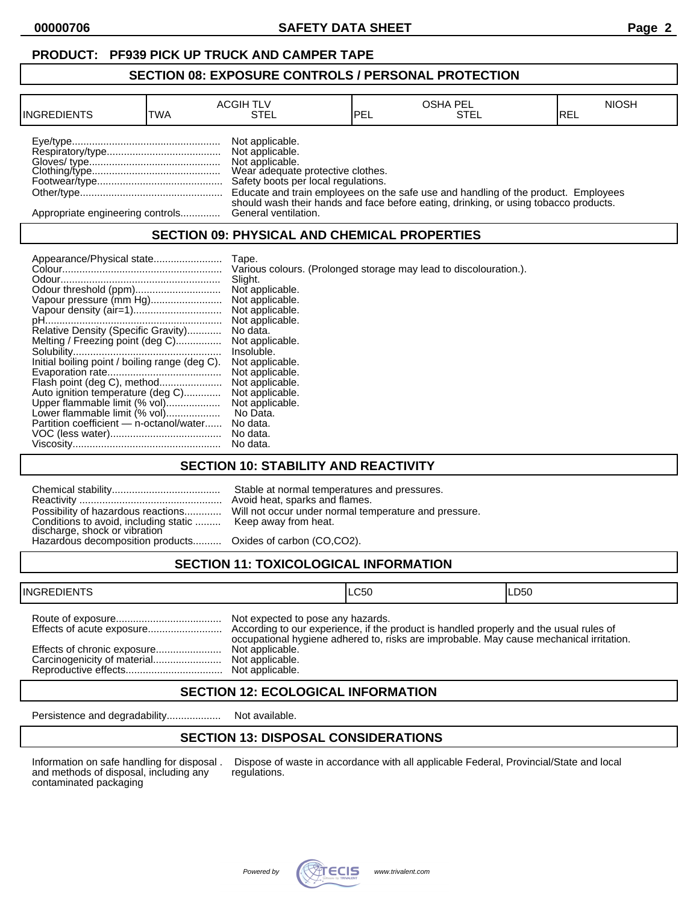## **PRODUCT: PF939 PICK UP TRUCK AND CAMPER TAPE**

#### **SECTION 08: EXPOSURE CONTROLS / PERSONAL PROTECTION**

| <b>INGREDIENTS</b>               | TWA | <b>ACGIH TLV</b><br>STEL                                                                                                          | <b>IPEL</b> | <b>OSHA PEL</b><br>STEL                                                              | <b>NIOSH</b><br>IREL |
|----------------------------------|-----|-----------------------------------------------------------------------------------------------------------------------------------|-------------|--------------------------------------------------------------------------------------|----------------------|
|                                  |     | Not applicable.<br>Not applicable.<br>Not applicable.<br>Wear adequate protective clothes.<br>Safety boots per local regulations. |             | Educate and train employees on the safe use and handling of the product. Employees   |                      |
| Appropriate engineering controls |     | General ventilation.                                                                                                              |             | should wash their hands and face before eating, drinking, or using tobacco products. |                      |

## **SECTION 09: PHYSICAL AND CHEMICAL PROPERTIES**

|                                                                    | Tape.                                                             |
|--------------------------------------------------------------------|-------------------------------------------------------------------|
|                                                                    | Various colours. (Prolonged storage may lead to discolouration.). |
|                                                                    | Slight.                                                           |
|                                                                    | Not applicable.                                                   |
| Vapour pressure (mm Hg)                                            | Not applicable.                                                   |
|                                                                    | Not applicable.                                                   |
|                                                                    | Not applicable.                                                   |
| Relative Density (Specific Gravity)                                | No data.                                                          |
| Melting / Freezing point (deg C)                                   | Not applicable.                                                   |
|                                                                    | Insoluble.                                                        |
| Initial boiling point / boiling range (deg C).                     | Not applicable.                                                   |
|                                                                    | Not applicable.                                                   |
| Flash point (deg C), method                                        | Not applicable.<br>Not applicable.                                |
| Auto ignition temperature (deg C)<br>Upper flammable limit (% vol) | Not applicable.                                                   |
| Lower flammable limit (% vol)                                      | No Data.                                                          |
| Partition coefficient - n-octanol/water                            | No data.                                                          |
|                                                                    | No data.                                                          |
|                                                                    | No data.                                                          |

## **SECTION 10: STABILITY AND REACTIVITY**

| Conditions to avoid, including static  Keep away from heat.<br>discharge, shock or vibration<br>Hazardous decomposition products Oxides of carbon (CO,CO2). | Stable at normal temperatures and pressures.<br>Avoid heat, sparks and flames.<br>Possibility of hazardous reactions Will not occur under normal temperature and pressure. |
|-------------------------------------------------------------------------------------------------------------------------------------------------------------|----------------------------------------------------------------------------------------------------------------------------------------------------------------------------|
|                                                                                                                                                             |                                                                                                                                                                            |

# **SECTION 11: TOXICOLOGICAL INFORMATION**

| <b>INGREDIENTS</b>          |                                                                         | ILC50                                                                                   | ILD50 |
|-----------------------------|-------------------------------------------------------------------------|-----------------------------------------------------------------------------------------|-------|
| Effects of chronic exposure | Not expected to pose any hazards.<br>Not applicable.<br>Not applicable. | occupational hygiene adhered to, risks are improbable. May cause mechanical irritation. |       |

## **SECTION 12: ECOLOGICAL INFORMATION**

Persistence and degradability................... Not available.

## **SECTION 13: DISPOSAL CONSIDERATIONS**

and methods of disposal, including any contaminated packaging

Information on safe handling for disposal . Dispose of waste in accordance with all applicable Federal, Provincial/State and local